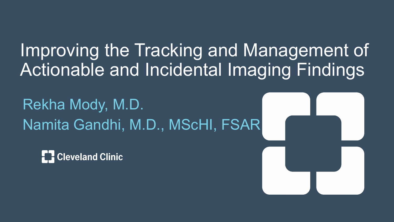#### Improving the Tracking and Management of Actionable and Incidental Imaging Findings

Rekha Mody, M.D. Namita Gandhi, M.D., MScHI, FSAR

**Cleveland Clinic**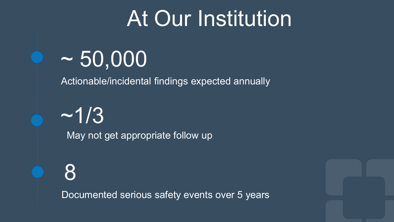## At Our Institution

## $\sim 50,000$

Actionable/incidental findings expected annually

 $~1/3$ May not get appropriate follow up

8

Documented serious safety events over 5 years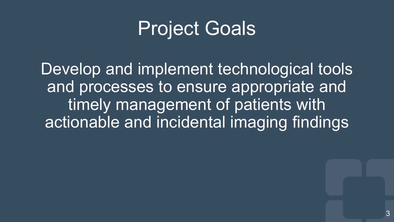#### Project Goals

Develop and implement technological tools and processes to ensure appropriate and timely management of patients with actionable and incidental imaging findings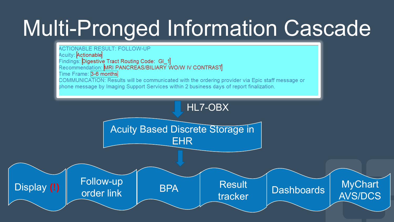# Multi-Pronged Information Cascade

#### **ACTIONABLE RESULT: FOLLOW-UP**

Acuity: Actionable Findings: Digestive Tract Routing Code: GI\_1 Recommendation: MRI PANCREAS/BILIARY WO/W IV CONTRAST Time Frame: 3-6 months COMMUNICATION: Results will be communicated with the ordering provider via Epic staff message or

phone message by Imaging Support Services within 2 business days of report finalization.

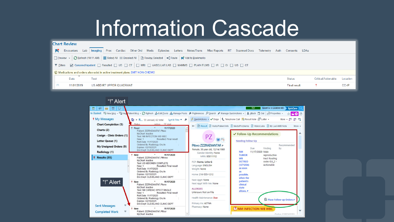## Information Cascade

| <b>Chart Review</b>                                                                                                                                                                                                                                                                                                                                                                                                                                                         |            |                                                                                                                                           |                     |                            |          |  |  |  |  |
|-----------------------------------------------------------------------------------------------------------------------------------------------------------------------------------------------------------------------------------------------------------------------------------------------------------------------------------------------------------------------------------------------------------------------------------------------------------------------------|------------|-------------------------------------------------------------------------------------------------------------------------------------------|---------------------|----------------------------|----------|--|--|--|--|
| <b>IN</b>                                                                                                                                                                                                                                                                                                                                                                                                                                                                   |            | Encounters Lab Imaging Proc Cardiac Other Ord Meds Episodes Letters Notes/Trans Misc Reports RT Scanned Docs Telemetry Auth Consents LDAs |                     |                            |          |  |  |  |  |
| O Preview ▼ C Refresh (10:11 AM)   E Select All E Deselect All   B Review Selected   ■"," Route   ■" Add to Bookmarks<br>$\boxed{\triangleright}$ Canceled/Inpatient $\boxed{\square}$ Resulted $\boxed{\square}$ US $\boxed{\square}$ CT $\boxed{\square}$ MRI $\boxed{\square}$ VASCULAR LAB $\boxed{\square}$ MAMMS $\boxed{\square}$ PLAIN FILMS $\boxed{\square}$ IR $\boxed{\square}$ GI $\boxed{\square}$ US $\boxed{\square}$ CT<br>$\overline{\mathbf{r}}$ Eilters |            |                                                                                                                                           |                     |                            |          |  |  |  |  |
| (D) Medications and orders also exist in active treatment plans: BMT NON-CHEMO                                                                                                                                                                                                                                                                                                                                                                                              |            |                                                                                                                                           |                     |                            |          |  |  |  |  |
|                                                                                                                                                                                                                                                                                                                                                                                                                                                                             | Date       | Test                                                                                                                                      | <b>Status</b>       | <b>Critical/Actionable</b> | Location |  |  |  |  |
|                                                                                                                                                                                                                                                                                                                                                                                                                                                                             | 11/01/2019 | US ABD RT UPPER QUADRANT                                                                                                                  | <b>Final result</b> |                            | CC-IP    |  |  |  |  |

| "!" Alert                                               |                                                                                                                                                                                 |                                                         |                                                                                           |  |  |  |  |
|---------------------------------------------------------|---------------------------------------------------------------------------------------------------------------------------------------------------------------------------------|---------------------------------------------------------|-------------------------------------------------------------------------------------------|--|--|--|--|
| 曲<br>÷≣.<br>$\blacksquare$<br>$\overline{\rm{m}}$<br>10 |                                                                                                                                                                                 |                                                         | <b>NAMITA S GANDHI MD</b><br><b>EpicCare</b><br><b>TST</b>                                |  |  |  |  |
|                                                         | In Basket 역 New <u>M</u> sg → 델 New Patient Msg → <i>C</i> Refresh ☆ Edit Pools ☆ Manage Pools ♪ Preferences ♪ Search ♪ Manage QuickActions →   ▲ Attach 립 Out   母 Properties → |                                                         | <b>MBO</b>                                                                                |  |  |  |  |
| t My Messages                                           | Sort & Filter <b>v</b><br>$R_{\dots}$ 55 unread, 62 total                                                                                                                       |                                                         | QuickActions ▼ V Done   L Telephone Call EResult Note FLetter ▼<br>N<br>四四<br>More $\sim$ |  |  |  |  |
| <b>Chart Completion (5)</b>                             | Action \\ Visit<br>sutet2                                                                                                                                                       |                                                         | 日 Result 月 Visits/Patient Info 日 Meds/Problems 月 Vitals/Labs 日 My Last AMB Note<br>More - |  |  |  |  |
| Charts (2)                                              | Read<br>11/17/2020<br>٠<br>Patient ZZZRADIANTAF, Pttwo                                                                                                                          |                                                         |                                                                                           |  |  |  |  |
| Cosign - Clinic Orders (1)                              | MyChart: Inactive<br>Test NM INFECTION WB WBC                                                                                                                                   | PZ                                                      | ✔ Follow-Up Recommendations                                                               |  |  |  |  |
| <b>Letter Queue (1)</b>                                 | Resulted: Final result<br>New: 1<br>RsIt Date: 11/17/2020                                                                                                                       | $\mathbf{Q}(\mathbb{Z})$                                | <b>Needing Follow-Up</b>                                                                  |  |  |  |  |
| My Unsigned Orders (9)                                  | Ordered By: Radiology, Oru In<br>Expires: 02/15/2021                                                                                                                            | Pttwo ZZZRADIANTAF &<br>Female, 30 year old, 12/14/1989 | Recommended<br>Finding<br>by<br>Due                                                       |  |  |  |  |
| Radiology (1)                                           | Enc Dept: CLEVELAND CLINIC DEPT<br>11/17/2020<br>* New                                                                                                                          | Gender Identity: None                                   | <b>NM</b><br>11/17/2020 Male                                                              |  |  |  |  |
| $\uparrow$ Results (55)                                 | Patient ZZZRADIANTAF, Ptthree                                                                                                                                                   | MRN: 95011112                                           | <b>TUMOR</b><br>reproductive<br><b>WB</b><br>tract Routing                                |  |  |  |  |
|                                                         | <b>MyChart</b> : Inactive<br><b>Test US ABDOMEN COMPLETE</b><br>Resulted: Final result<br>New: 1                                                                                | PCP: Iheme, Uche G<br>Language: ENGLISH                 | code: GU_2 -<br><b>OCTREO</b><br>Actionable<br>(1271204)                                  |  |  |  |  |
|                                                         | RsIt Date: 11/17/2020<br>Ordered By: Radiology, Oru In                                                                                                                          | Weight: None                                            | as soon<br>as                                                                             |  |  |  |  |
|                                                         | Expires: 02/15/2021<br>Enc Dept: CLEVELAND CLINIC DEPT                                                                                                                          | Home: 216-555-1212                                      | possible,                                                                                 |  |  |  |  |
| "!" Alert                                               | * New<br>11/17/2020                                                                                                                                                             | Next Appt: None                                         | when the<br>patient's                                                                     |  |  |  |  |
|                                                         | Patient: ZZZRADIANTAF, Ptone<br><b>MyChart</b> : Inactive                                                                                                                       | Next Appt With Me: None                                 | clinical<br>state                                                                         |  |  |  |  |
|                                                         | <b>Test NM CARDIAC SPECT SINGLE</b><br><b>Resulted: Final result</b><br>New: 1                                                                                                  | <b>ALLERGIES</b><br>Unknown: Not on File                | allows.                                                                                   |  |  |  |  |
|                                                         | RsIt Date: 11/17/2020<br>Ordered By: Radiology, Oru In                                                                                                                          | Health Maintenance: Due                                 | Place Follow-up Orders                                                                    |  |  |  |  |
|                                                         | Expires: 02/15/2021<br>Enc Dept: CLEVELAND CLINIC DEPT                                                                                                                          | Primary Ins: AETNA                                      | <b>ONM INFECTION WB WBC</b>                                                               |  |  |  |  |
| <b>Sent Messages</b>                                    | 11/17/2020<br>* New                                                                                                                                                             | Pharmacy: None                                          |                                                                                           |  |  |  |  |
| $\boldsymbol{\varkappa}$<br><b>Completed Work</b>       | Patient: ZZZRADIANTAF, Ptfour<br><b>MyChart</b> : Inactive                                                                                                                      |                                                         | Order 120026201                                                                           |  |  |  |  |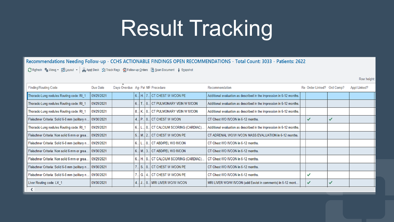# Result Tracking

Recommendations Needing Follow-up - CCHS ACTIONABLE FINDINGS OPEN RECOMMENDATIONS - Total Count: 3033 - Patients: 2622

C Refresh % Views ▼ 即Layout ▼ 日本 Appt Desk > Track Recs → Follow-up Orders ■ Scan Document • Snapshot

Liver  $\langle$ 

| <b>Finding/Routing Code</b>                   | Due Date   | Days Overdue Ag Pat MF Procedure |      |                                             | Recommendation                                                       | Re Order Linked? Ord Comp? |              | <b>Appt Linked</b> |
|-----------------------------------------------|------------|----------------------------------|------|---------------------------------------------|----------------------------------------------------------------------|----------------------------|--------------|--------------------|
| Thoracic-Lung nodules Routing code: RI 1      | 09/29/2021 |                                  |      | 6. H. 7. CT CHEST W IVCON PE                | Additional evaluation as described in the impression in 6-12 months. |                            |              |                    |
| Thoracic-Lung nodules Routing code: RI_1      | 09/29/2021 |                                  |      | 6. T. 8. CT PULMONARY VEIN W IVCON          | Additional evaluation as described in the impression in 6-12 months. |                            |              |                    |
| Thoracic-Lung nodules Routing code: RI 1      | 09/29/2021 |                                  |      | 8. K. B. CT PULMONARY VEIN WIVCON           | Additional evaluation as described in the impression in 6-12 months. |                            |              |                    |
| Fleischner Criteria: Solid 6-8 mm (solitary n | 09/30/2021 |                                  |      | 4. P. 8. CT CHEST W IVCON                   | CT Chest WO IVCON in 6-12 months.                                    | ✓                          | $\checkmark$ |                    |
| Thoracic-Lung nodules Routing code: RI_1      | 09/29/2021 |                                  | 6.1L | 8  CT CALCIUM SCORING (CARDIAC)             | Additional evaluation as described in the impression in 6-12 months. |                            |              |                    |
| Fleischner Criteria: Non solid 6 mm or grea   | 09/29/2021 |                                  |      | 5. M. 2. CT CHEST W IVCON PE                | CT ADRENAL WO/W IVCON MASS EVALUATION in 6-12 months.                |                            |              |                    |
| Fleischner Criteria: Solid 6-8 mm (solitary n | 09/29/2021 |                                  | 6.1L | 8. CT ABD/PEL WO IVCON                      | CT Chest WO IVCON in 6-12 months.                                    |                            |              |                    |
| Fleischner Criteria: Non solid 6 mm or grea.  | 09/30/2021 |                                  |      | 6. M. 3. CT ABD/PEL WO IVCON                | CT Chest WO IVCON in 6-12 months.                                    |                            |              |                    |
| Fleischner Criteria: Non solid 6 mm or grea.  | 09/29/2021 |                                  |      | 6.   H.   8.   CT CALCIUM SCORING (CARDIAC) | CT Chest WO IVCON in 6-12 months.                                    |                            |              |                    |
| Fleischner Criteria: Solid 6-8 mm (solitary n | 09/30/2021 |                                  |      | 7 S 8 CT CHEST WIVCON PE                    | CT Chest WO IVCON in 6-12 months.                                    |                            |              |                    |
| Fleischner Criteria: Solid 6-8 mm (solitary n | 09/30/2021 |                                  |      | G., 4 CT CHEST W IVCON PE                   | CT Chest WO IVCON in 6-12 months.                                    | ✓                          |              |                    |
| Liver Routing code: LV_1                      | 09/30/2021 |                                  |      | 4 J 8 MRI LIVER WO/W IVCON                  | MRI LIVER WO/W IVCON (add Eovist in comments) in 6-12 mont           | ✓                          |              |                    |
| .                                             |            |                                  |      |                                             |                                                                      |                            |              |                    |

Row height: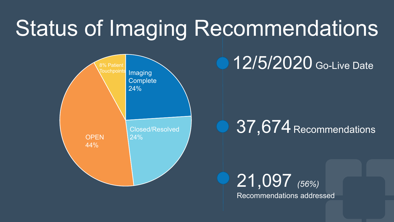# Status of Imaging Recommendations



12/5/2020 Go-Live Date

#### 37,674 Recommendations

21,097 *(56%)* Recommendations addressed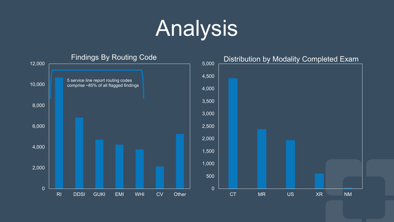# Analysis

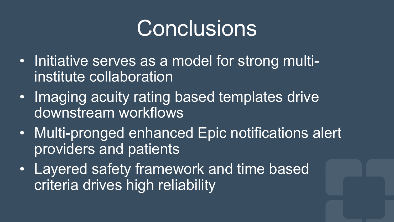## **Conclusions**

- Initiative serves as a model for strong multiinstitute collaboration
- Imaging acuity rating based templates drive downstream workflows
- Multi-pronged enhanced Epic notifications alert providers and patients
- Layered safety framework and time based criteria drives high reliability